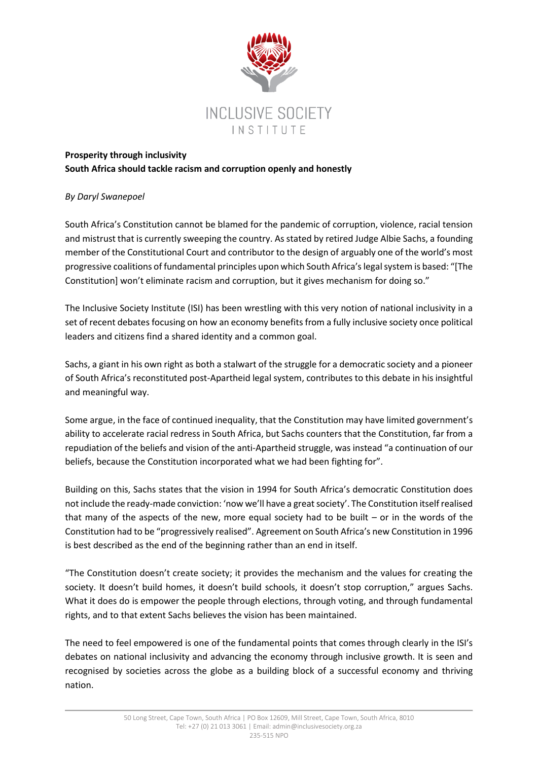

## **Prosperity through inclusivity South Africa should tackle racism and corruption openly and honestly**

## *By Daryl Swanepoel*

South Africa's Constitution cannot be blamed for the pandemic of corruption, violence, racial tension and mistrust that is currently sweeping the country. As stated by retired Judge Albie Sachs, a founding member of the Constitutional Court and contributor to the design of arguably one of the world's most progressive coalitions of fundamental principles upon which South Africa's legal system is based: "[The Constitution] won't eliminate racism and corruption, but it gives mechanism for doing so."

The Inclusive Society Institute (ISI) has been wrestling with this very notion of national inclusivity in a set of recent debates focusing on how an economy benefits from a fully inclusive society once political leaders and citizens find a shared identity and a common goal.

Sachs, a giant in his own right as both a stalwart of the struggle for a democratic society and a pioneer of South Africa's reconstituted post-Apartheid legal system, contributes to this debate in his insightful and meaningful way.

Some argue, in the face of continued inequality, that the Constitution may have limited government's ability to accelerate racial redress in South Africa, but Sachs counters that the Constitution, far from a repudiation of the beliefs and vision of the anti-Apartheid struggle, was instead "a continuation of our beliefs, because the Constitution incorporated what we had been fighting for".

Building on this, Sachs states that the vision in 1994 for South Africa's democratic Constitution does not include the ready-made conviction: 'now we'll have a great society'. The Constitution itself realised that many of the aspects of the new, more equal society had to be built – or in the words of the Constitution had to be "progressively realised". Agreement on South Africa's new Constitution in 1996 is best described as the end of the beginning rather than an end in itself.

"The Constitution doesn't create society; it provides the mechanism and the values for creating the society. It doesn't build homes, it doesn't build schools, it doesn't stop corruption," argues Sachs. What it does do is empower the people through elections, through voting, and through fundamental rights, and to that extent Sachs believes the vision has been maintained.

The need to feel empowered is one of the fundamental points that comes through clearly in the ISI's debates on national inclusivity and advancing the economy through inclusive growth. It is seen and recognised by societies across the globe as a building block of a successful economy and thriving nation.